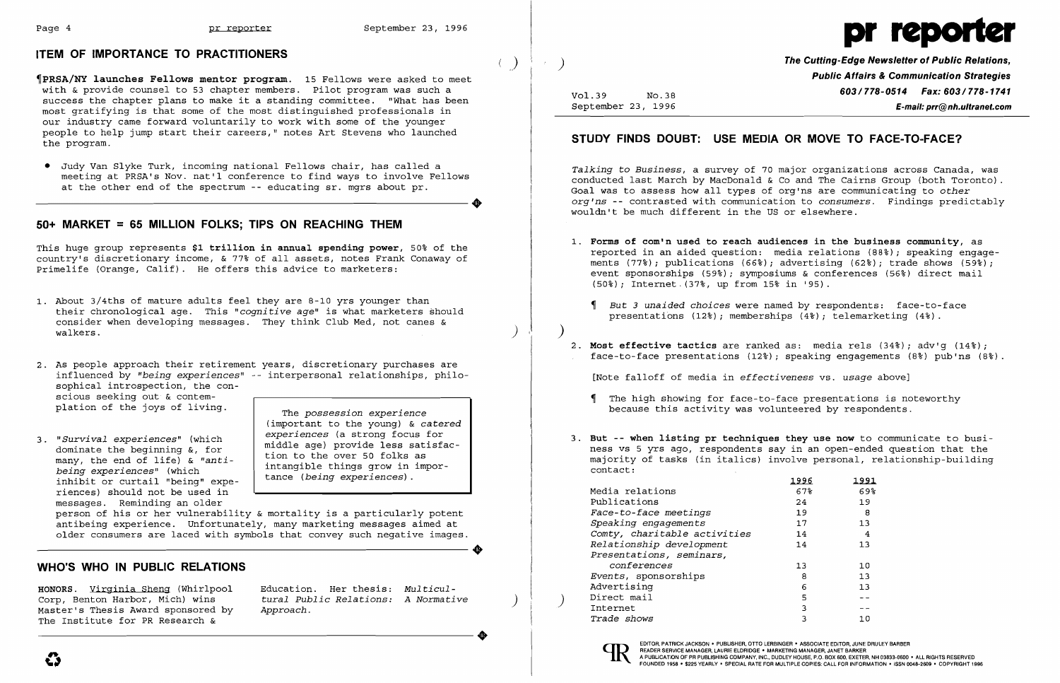# **ITEM OF IMPORTANCE TO PRACTITIONERS** ()

• Judy Van Slyke Turk, incoming national Fellows chair, has called a meeting at PRSA's Nov. nat'l conference to find ways to involve Fellows<br>at the other end of the spectrum -- educating sr. mgrs about pr. at the other end of the spectrum  $-$ - educating sr. mgrs about pr.

~PRSA/NY **launches Fellows mentor program.** 15 Fellows were asked to meet with & provide counsel to 53 chapter members. pilot program was such a success the chapter plans to make it a standing committee. "What has been most gratifying is that some of the most distinguished professionals in our industry came forward voluntarily to work with some of the younger people to help jump start their careers," notes Art Stevens who launched the program.

## **50+ MARKET = 65 MILLION FOLKS; TIPS ON REACHING THEM**

This huge group represents **\$1 trillion in annual spending power,** 50% of the country's discretionary income, & 77% of all assets, notes Frank Conaway of Primelife (Orange, Calif). He offers this advice to marketers:

**HONORS.** Virginia Sheng (Whirlpool Education. Her thesis: *Multicul-*Master's Thesis Award sponsored by The Institute for PR Research & Master's Thesis Award sponsored by Approach.<br>The Institute for PR Research &

tural Public Relations: A Normative<br>Approach.

 $\bullet$ 

- 1. About 3/4ths of mature adults feel they are 8-10 yrs younger than their chronological age. This *"cognitive age"* is what marketers should consider when developing messages. They think Club Med, not canes &  $\frac{1}{2}$  walkers.  $\frac{1}{2}$  and  $\frac{1}{2}$  and  $\frac{1}{2}$  and  $\frac{1}{2}$  and  $\frac{1}{2}$  and  $\frac{1}{2}$  and  $\frac{1}{2}$  and  $\frac{1}{2}$  and  $\frac{1}{2}$  and  $\frac{1}{2}$  and  $\frac{1}{2}$  and  $\frac{1}{2}$  and  $\frac{1}{2}$  and  $\frac{1}{2}$  and  $\frac{1}{$
- 2. As people approach their retirement years, discretionary purchases are influenced by *"being experiences"* -- interpersonal relationships, philosophical introspection, the conscious seeking out & contemplation of the joys of living. The *possession experience*
- 3. "Survival experiences" (which dominate the beginning  $\⊂>6$ , for many, the end of life)  $\⊂>1$  "anti-<br>  $\⊂>1$ " anti-<br>  $\⊂>1$ " anti-<br>  $\⊂>1$ " anti-<br>  $\⊂>1$ " antimany, the end of life) & "anti-<br>being experiences" (which intangible things grow in impor<br>inhibit or curtail "being" expe-<br>dime (being experiences) . riences) should not be used in messages. Reminding an older

(important to the young) & *catered* 

person of his or her vulnerability & mortality is a particularly potent antibeing experience. Unfortunately, many marketing messages aimed at older consumers are laced with symbols that convey such negative images.

## **WHO'S WHO IN PUBLIC RELATIONS**



**The Cutting-Edge Newsletter of Public Relations,** ) **Public Affairs & Communication Strategies 603/778-0514 Fax: 603/778-1741**<br>September 23, 1996 September 23, 1996 September 23, 1996 **E-mail: prr@nh.ultranet.com** 

# **STUDY FINDS DOUBT: USE MEDIA OR MOVE TO FACE-TO-FACE?**

*Talking* to *Business,* a survey of 70 major organizations across Canada, was conducted last March by MacDonald & Co and The Cairns Group (both Toronto) . Goal was to assess how all types of org'ns are communicating to *other org'ns* -- contrasted with communication to *consumers.* Findings predictably wouldn't be much different in the US or elsewhere.

reported in an aided question: media relations (88%); speaking engagements  $(77%)$ ; publications  $(66%)$ ; advertising  $(62%)$ ; trade shows  $(59%)$ ; event sponsorships (59%); symposiums & conferences (56%) direct mail

- 1. **Forms of com'n used to reach audiences in the business community,** as (50%); Internet. (37%, up from 15% in '95).
	- *But* 3 *unaided choices* were named by respondents: face-to-face presentations (12%); memberships (4%); telemarketing (4%).
- 2. **Most effective tactics** are ranked as: media rels (34%); adv'g (14%);

face-to-face presentations (12%); speaking engagements (8%) pub'ns (8%).

[Note falloff of media in *effectiveness* vs. *usage* above]

- The high showing for face-to-face presentations is noteworthy because this activity was volunteered by respondents.
- 3. **But -- when listing pr techniques they use now** to communicate to busicontact:

Media relations Publications  $Face-to-face meeting$ *Speaking engagements Comty, charitable activities*  $Relationship development$ *Presentations, seminars,*  $co<sub>n</sub>ferences$ *Events,* sponsorships Advertising Direct mail<br>Internet ) Direct mail 5<br>Internet 3 Trade shows



 $\big)$ 

ness vs 5 yrs ago, respondents say in an open-ended question that the majority of tasks (in italics) involve personal, relationship-building

| 1996 | <u> 1991</u> |
|------|--------------|
| 67%  | 69%          |
| 24   | 19           |
| 19   | 8            |
| 17   | 13           |
| 14   | 4            |
| 14   | 13           |
| 13   | 10           |
| 8    | 13           |
| 6    | 13           |
| 5    |              |
| 3    |              |
| 3    | 10           |